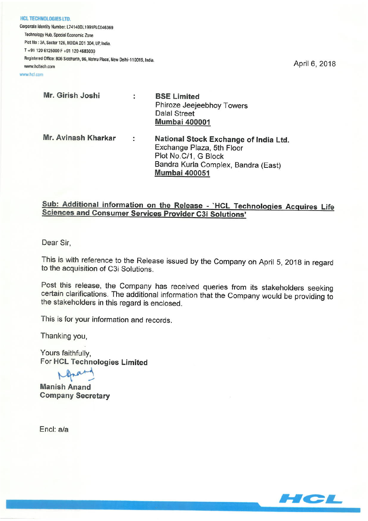**HCL TECHNOLOGIES LTD.** Corporate Identity Number: L74140DL1991PLC046369 Technology Hub, Special Economic Zone Plot No : 3A, Sector 126, NOIDA 201 304, UP, India. T +91 120 6125000 F +91 120 4683030 Registered Office: 806 Siddharth, 96, Nehru Place, New Delhi-110019, India. www.hcltech.com

www.hcl.com

| Mr. Girish Joshi    | ÷                    | <b>BSE Limited</b><br>Phiroze Jeejeebhoy Towers<br><b>Dalal Street</b><br><b>Mumbai 400001</b>                                                            |
|---------------------|----------------------|-----------------------------------------------------------------------------------------------------------------------------------------------------------|
| Mr. Avinash Kharkar | $\ddot{\phantom{a}}$ | National Stock Exchange of India Ltd.<br>Exchange Plaza, 5th Floor<br>Plot No.C/1, G Block<br>Bandra Kurla Complex, Bandra (East)<br><b>Mumbai 400051</b> |

# Sub: Additional information on the Release - `HCL Technologies Acquires Life **Sciences and Consumer Services Provider C3i Solutions'**

Dear Sir.

This is with reference to the Release issued by the Company on April 5, 2018 in regard to the acquisition of C3i Solutions.

Post this release, the Company has received queries from its stakeholders seeking certain clarifications. The additional information that the Company would be providing to the stakeholders in this regard is enclosed.

This is for your information and records.

Thanking you,

Yours faithfully, For HCL Technologies Limited

**Manish Anand Company Secretary** 

Encl: a/a



April 6, 2018